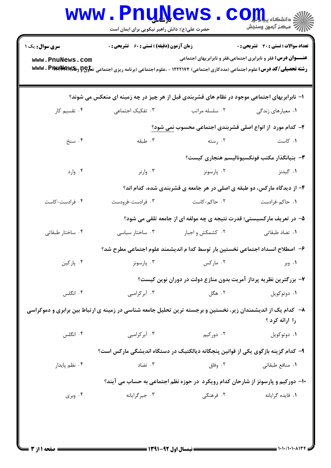| سری سوال: یک ۱   | <b>زمان آزمون (دقیقه) : تستی : 60 ٪ تشریحی : 0</b>                                                                                         |                                                                                 | <b>تعداد سوالات : تستی : 30 ٪ تشریحی : 0</b>                          |  |  |  |
|------------------|--------------------------------------------------------------------------------------------------------------------------------------------|---------------------------------------------------------------------------------|-----------------------------------------------------------------------|--|--|--|
| www.PnuNews.com  | <b>رشته تحصیلی/کد درس:</b> علوم اجتماعی (مددکاری اجتماعی) ۱۲۲۲۱۷۴ - ،علوم اجتماعی (برنامه ریزی اجتماعی ت <del>ماوP و WW</del> V . PIM*MAW& |                                                                                 | <b>عنـــوان درس:</b> فقر و نابرابری اجتماعی،فقر و نابرابریهای اجتماعی |  |  |  |
|                  | ۱– نابرابریهای اجتماعی موجود در نظام های قشربندی قبل از هر چیز در چه زمینه ای منعکس می شوند؟                                               |                                                                                 |                                                                       |  |  |  |
| ۰۴ تقسیم کار     | ۰۳ تفکیک اجتماعی                                                                                                                           | ۰۲ سلسله مراتب                                                                  | ۰۱ معیارهای زندگی                                                     |  |  |  |
|                  | ۲- کدام مورد از انواع اصلی قشربندی اجتماعی محسوب نمی شود؟                                                                                  |                                                                                 |                                                                       |  |  |  |
| ۰۴ سنخ           | ۰۳ طبقه                                                                                                                                    | ۰۲ رسته                                                                         | ۰۱ کاست                                                               |  |  |  |
|                  | + بنيانگذار مكتب فونكسيوناليسم هنجارى كيست؟                                                                                                |                                                                                 |                                                                       |  |  |  |
| ۰۴ وارد          | ۰۳ وارنر                                                                                                                                   | ۰۲ پارسونز                                                                      | ۰۱ گیدنز                                                              |  |  |  |
|                  |                                                                                                                                            | ۴- از دیدگاه مارکس، دو طبقه ی اصلی در هر جامعه ی قشربندی شده، کدام اند؟         |                                                                       |  |  |  |
| ۰۴ فرادست-کاست   | ۰۳ فرادست-فرودست                                                                                                                           | ۰۲ حاکم-کاست                                                                    | ٠١. حاكم-فرادست                                                       |  |  |  |
|                  |                                                                                                                                            | ۵- در تعریف مارکسیستی؛ قدرت نتیجه ی چه مولفه ای از جامعه تلقی می شود؟           |                                                                       |  |  |  |
| ۰۴ ساختار طبقاتی | ۰۳ ساختار سیاسی                                                                                                                            | ۰۲ کشمکش و اجبار                                                                | ۰۱ تضاد طبقاتی                                                        |  |  |  |
|                  |                                                                                                                                            | ۶– اصطلاح انسداد اجتماعی نخستین بار توسط کدا م اندیشمند علوم اجتماعی مطرح شد؟   |                                                                       |  |  |  |
| ۰۴ پارکین        | ۰۳ پارسونز                                                                                                                                 | ۰۲ مارکس                                                                        | ۰۱ وبر                                                                |  |  |  |
|                  |                                                                                                                                            | ۷– بزرگترین نظریه پرداز آمریت بدون منازع دولت در دوران نوین کیست؟               |                                                                       |  |  |  |
| ۰۴ انگلس         | ۰۳ آبر کرامبی                                                                                                                              | ۰۲ هگل                                                                          | ۰۱ دوتوکویل                                                           |  |  |  |
|                  | ۸– کدام یک از اندیشمندان زیر، نخستین و برجسته ترین تحلیل جامعه شناسی در زمینه ی ارتباط بین برابری و دموکراسی                               |                                                                                 | را ارائه کرد ؟                                                        |  |  |  |
| ۰۴ انگلس         | ۰۳ آبرکرامبی                                                                                                                               | ۰۲ دورکیم                                                                       | ۰۱ دوتوکويل                                                           |  |  |  |
|                  | ۹– کدام گزینه بازگوی یکی از قوانین پنجگانه دیالکتیک در دستگاه اندیشگی مارکس است؟                                                           |                                                                                 |                                                                       |  |  |  |
| ۰۴ نظم پایدار    | ۰۳ تضاد                                                                                                                                    | ۰۲ وفاق                                                                         | ۰۱ منافع طبقات <sub>ی</sub>                                           |  |  |  |
|                  |                                                                                                                                            | ۱۰- دورکیم و پارسونز از شارحان کدام رویکرد در حوزه نظم اجتماعی به حساب می آیند؟ |                                                                       |  |  |  |
| ۰۴ وبری          | ۰۳ جبرگرایانه                                                                                                                              | ۰۲ فرهنگی                                                                       | ۰۱ فایده گرایانه                                                      |  |  |  |

 $= 1.1 \cdot 11.1 \cdot 1175$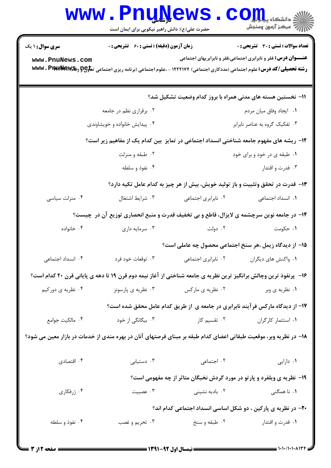|                                                                                        | <b>www.PnuNews</b><br>حضرت علی(ع): دانش راهبر نیکویی برای ایمان است                                                                        |                                | $\text{C}$ OII<br>أآآآآ مركز آزمون وسنجش                                        |  |  |
|----------------------------------------------------------------------------------------|--------------------------------------------------------------------------------------------------------------------------------------------|--------------------------------|---------------------------------------------------------------------------------|--|--|
| <b>سری سوال : ۱ یک</b>                                                                 | زمان آزمون (دقیقه) : تستی : ۶۰٪ تشریحی : ۰                                                                                                 |                                | <b>تعداد سوالات : تستی : 30 ٪ تشریحی : 0</b>                                    |  |  |
| www.PnuNews.com                                                                        | <b>رشته تحصیلی/کد درس:</b> علوم اجتماعی (مددکاری اجتماعی) ۱۲۲۲۱۷۴ - ،علوم اجتماعی (برنامه ریزی اجتماعی ت <del>ماوP و WW</del> V . PIN#NGW& |                                | <b>عنـــوان درس:</b> فقر و نابرابری اجتماعی،فقر و نابرابریهای اجتماعی           |  |  |
|                                                                                        |                                                                                                                                            |                                | 1۱– نخستین هسته های مدنی همراه با بروز کدام وضعیت تشکیل شد؟                     |  |  |
|                                                                                        | ۰۲ برقراری نظم در جامعه                                                                                                                    |                                | ٠١ ايجاد وفاق ميان مردم                                                         |  |  |
|                                                                                        | ۰۴ پیدایش خانواده و خویشاوندی                                                                                                              | ۰۳ تفکیک گروه به عناصر نابرابر |                                                                                 |  |  |
| ۱۲- ریشه های مفهوم جامعه شناختی انسداد اجتماعی در تمایز بین کدام یک از مفاهیم زیر است؟ |                                                                                                                                            |                                |                                                                                 |  |  |
|                                                                                        | ۰۲ طبقه و منزلت                                                                                                                            | ۰۱ طبقه ی در خود و برای خود    |                                                                                 |  |  |
|                                                                                        | ۰۴ نفوذ و سلطه                                                                                                                             |                                | ۰۳ فدرت و اقتدار                                                                |  |  |
|                                                                                        |                                                                                                                                            |                                | ۱۳- قدرت در تحقق وتثبیت و باز تولید خویش، بیش از هر چیز به کدام عامل تکیه دارد؟ |  |  |
| ۰۴ منزلت سیاسی                                                                         | ۰۳ شرايط اشتغال                                                                                                                            | ٠٢ نابرابري اجتماعي            | ۰۱ انسداد اجتماعی                                                               |  |  |
|                                                                                        | ۱۴- در جامعه نوین سرچشمه ی لایزال، قاطع و بی تخفیف قدرت و منبع انحصاری توزیع آن در چیست؟                                                   |                                |                                                                                 |  |  |
| ۰۴ خانواده                                                                             | ۰۳ سرمایه داری                                                                                                                             | ۰۲ دولت                        | ۰۱ حکومت                                                                        |  |  |
|                                                                                        |                                                                                                                                            |                                | 1۵– از دیدگاه زیمل ،هر سنخ اجتماعی محصول چه عاملی است؟                          |  |  |
| ۰۴ انسداد اجتماعی                                                                      | ۰۱ واکنش های دیگران مسمل ۲۰ نابرابری اجتماعی مسم <sup>س ۳</sup> ۰ توقعات خود فرد .                                                         |                                |                                                                                 |  |  |
|                                                                                        | ۱۶– پرنفوذ ترین وچالش برانگیز ترین نظریه ی جامعه شناختی از آغاز نیمه دوم قرن ۱۹ تا دهه ی پایانی قرن ۲۰ کدام است؟                           |                                |                                                                                 |  |  |
| ۰۴ نظریه ی دورکیم                                                                      | ۰۳ نظریه ی پارسونز                                                                                                                         | ۰۲ نظریه ی مارکس               | ۰۱ نظریه ی وبر                                                                  |  |  |
|                                                                                        |                                                                                                                                            |                                | ۱۷- از دیدگاه مارکس فرآیند نابرابری در جامعه ی از طریق کدام عامل محقق شده است؟  |  |  |
| ۰۴ مالکیت جوامع                                                                        | ۰۳ بیگانگی از خود                                                                                                                          | ۰۲ تقسیم کار                   | ۰۱ استثمار کارگران                                                              |  |  |
|                                                                                        | ۱۸– در نظریه وبر، موقعیت طبقاتی اعضای کدام طبقه بر مبنای فرصتهای آنان در بهره مندی از خدمات در بازار معین می شود؟                          |                                |                                                                                 |  |  |
| ۰۴ اقتصادی                                                                             | ۰۳ دستیابی                                                                                                                                 | ۰۲ اجتماعی                     | ٠١ دارايي                                                                       |  |  |
|                                                                                        |                                                                                                                                            |                                | ۱۹- نظریه ی ویلفرد و پارتو در مورد گردش نخبگان متاثر از چه مفهومی است؟          |  |  |
| ۰۴ ژرفکاری                                                                             | ۰۳ عصبيت                                                                                                                                   | ۰۲ بادیه نشینی                 | ۰۱ نا همگنی                                                                     |  |  |
|                                                                                        | ۲۰- در نظریه ی پارکین ، دو شکل اساسی انسداد اجتماعی کدام اند؟                                                                              |                                |                                                                                 |  |  |
| ۰۴ نفوذ و سلطه                                                                         | ۰۳ تحريم و غصب                                                                                                                             | ۰۲ طبقه و سنخ                  | ۰۱ قدرت و اقتدار                                                                |  |  |
|                                                                                        |                                                                                                                                            |                                |                                                                                 |  |  |